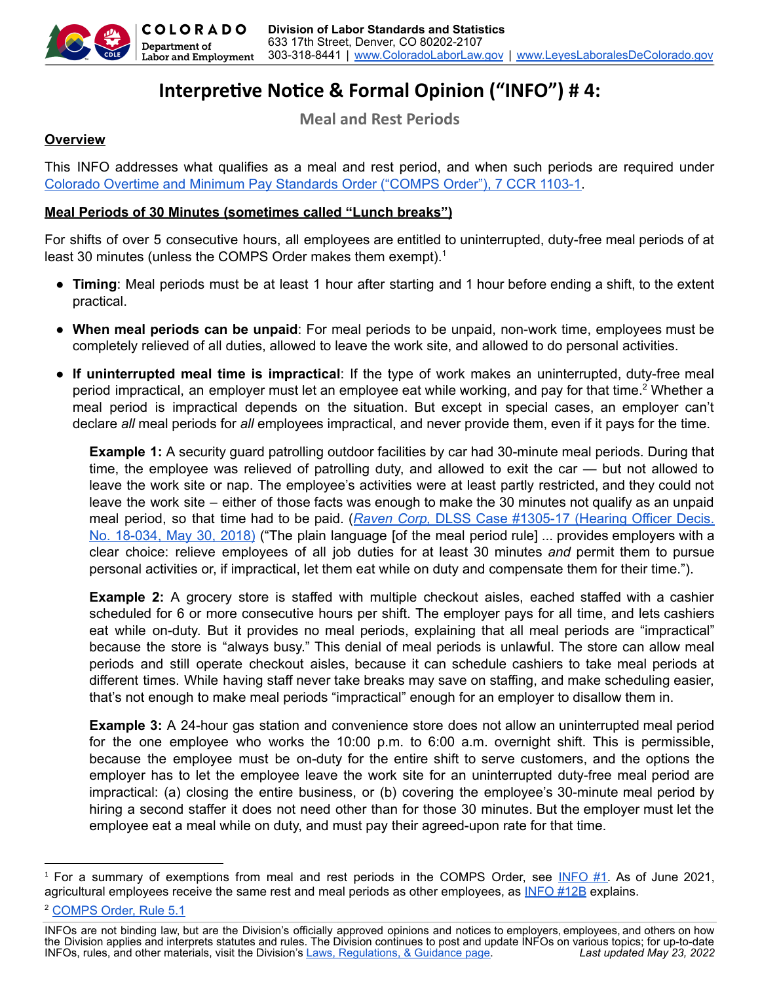

# **Interpretive Notice & Formal Opinion ("INFO") #4:**

**Meal and Rest Periods**

## **Overview**

This INFO addresses what qualifies as a meal and rest period, and when such periods are required under Colorado Overtime and Minimum Pay [Standards](https://cdle.colorado.gov/colorado-overtime-minimum-pay-standards-comps-order-36) Order ("COMPS Order"), 7 CCR 1103-1.

## **Meal Periods of 30 Minutes (sometimes called "Lunch breaks")**

For shifts of over 5 consecutive hours, all employees are entitled to uninterrupted, duty-free meal periods of at least 30 minutes (unless the COMPS Order makes them exempt).<sup>1</sup>

- **Timing**: Meal periods must be at least 1 hour after starting and 1 hour before ending a shift, to the extent practical.
- **When meal periods can be unpaid**: For meal periods to be unpaid, non-work time, employees must be completely relieved of all duties, allowed to leave the work site, and allowed to do personal activities.
- **If uninterrupted meal time is impractical**: If the type of work makes an uninterrupted, duty-free meal period impractical, an employer must let an employee eat while working, and pay for that time.<sup>2</sup> Whether a meal period is impractical depends on the situation. But except in special cases, an employer can't declare *all* meal periods for *all* employees impractical, and never provide them, even if it pays for the time.

**Example 1:** A security guard patrolling outdoor facilities by car had 30-minute meal periods. During that time, the employee was relieved of patrolling duty, and allowed to exit the car — but not allowed to leave the work site or nap. The employee's activities were at least partly restricted, and they could not leave the work site – either of those facts was enough to make the 30 minutes not qualify as an unpaid meal period, so that time had to be paid. (*Raven Corp,* DLSS Case [#1305-17](https://drive.google.com/file/d/1l56Ij17D-21CYwUhWNpvogRLS874Ttho/view) (Hearing Officer Decis. No. [18-034,](https://drive.google.com/file/d/1l56Ij17D-21CYwUhWNpvogRLS874Ttho/view) May 30, 2018) ("The plain language [of the meal period rule] ... provides employers with a clear choice: relieve employees of all job duties for at least 30 minutes *and* permit them to pursue personal activities or, if impractical, let them eat while on duty and compensate them for their time.").

**Example 2:** A grocery store is staffed with multiple checkout aisles, eached staffed with a cashier scheduled for 6 or more consecutive hours per shift. The employer pays for all time, and lets cashiers eat while on-duty. But it provides no meal periods, explaining that all meal periods are "impractical" because the store is "always busy." This denial of meal periods is unlawful. The store can allow meal periods and still operate checkout aisles, because it can schedule cashiers to take meal periods at different times. While having staff never take breaks may save on staffing, and make scheduling easier, that's not enough to make meal periods "impractical" enough for an employer to disallow them in.

**Example 3:** A 24-hour gas station and convenience store does not allow an uninterrupted meal period for the one employee who works the 10:00 p.m. to 6:00 a.m. overnight shift. This is permissible, because the employee must be on-duty for the entire shift to serve customers, and the options the employer has to let the employee leave the work site for an uninterrupted duty-free meal period are impractical: (a) closing the entire business, or (b) covering the employee's 30-minute meal period by hiring a second staffer it does not need other than for those 30 minutes. But the employer must let the employee eat a meal while on duty, and must pay their agreed-upon rate for that time.

<sup>1</sup> For a summary of exemptions from meal and rest periods in the COMPS Order, see [INFO](https://cdle.colorado.gov/infos) #1. As of June 2021, agricultural employees receive the same rest and meal periods as other employees, as [INFO](https://cdle.colorado.gov/infos) #12B explains.

<sup>2</sup> [COMPS](https://cdle.colorado.gov/laws-regulations-guidance) Order, Rule 5.1

INFOs are not binding law, but are the Division's officially approved opinions and notices to employers, employees, and others on how the Division applies and interprets statutes and rules. The Division continues to post and update INFOs on various topics; for up-to-date<br>INFOs, rules, and other materials, visit the Division's <u>Laws, Regulations, & Guidan</u> INFOs, rules, and other materials, visit the Division's [Laws, Regulations, & Guidance page](https://cdle.colorado.gov/laws-regulations-guidance).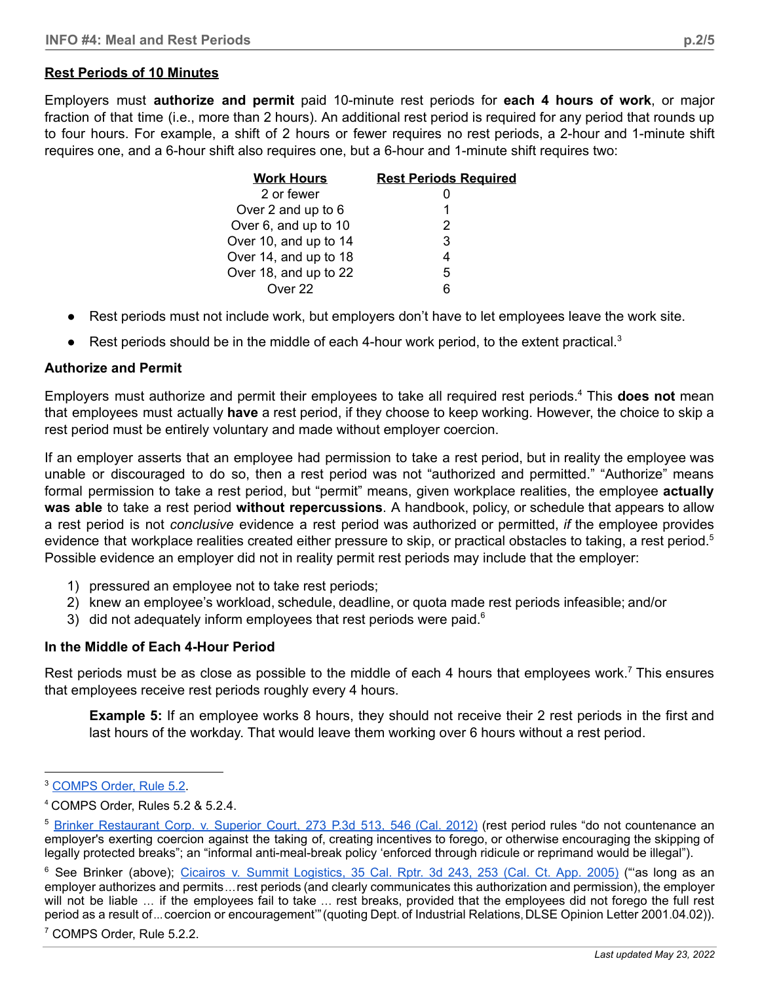## **Rest Periods of 10 Minutes**

Employers must **authorize and permit** paid 10-minute rest periods for **each 4 hours of work**, or major fraction of that time (i.e., more than 2 hours). An additional rest period is required for any period that rounds up to four hours. For example, a shift of 2 hours or fewer requires no rest periods, a 2-hour and 1-minute shift requires one, and a 6-hour shift also requires one, but a 6-hour and 1-minute shift requires two:

| <b>Work Hours</b>     | <b>Rest Periods Required</b> |
|-----------------------|------------------------------|
| 2 or fewer            |                              |
| Over 2 and up to 6    | 1                            |
| Over 6, and up to 10  | 2                            |
| Over 10, and up to 14 | 3                            |
| Over 14, and up to 18 | 4                            |
| Over 18, and up to 22 | 5                            |
| Over 22               | հ                            |

- Rest periods must not include work, but employers don't have to let employees leave the work site.
- $\bullet$  Rest periods should be in the middle of each 4-hour work period, to the extent practical.<sup>3</sup>

#### **Authorize and Permit**

Employers must authorize and permit their employees to take all required rest periods.<sup>4</sup> This **does not** mean that employees must actually **have** a rest period, if they choose to keep working. However, the choice to skip a rest period must be entirely voluntary and made without employer coercion.

If an employer asserts that an employee had permission to take a rest period, but in reality the employee was unable or discouraged to do so, then a rest period was not "authorized and permitted." "Authorize" means formal permission to take a rest period, but "permit" means, given workplace realities, the employee **actually was able** to take a rest period **without repercussions**. A handbook, policy, or schedule that appears to allow a rest period is not *conclusive* evidence a rest period was authorized or permitted, *if* the employee provides evidence that workplace realities created either pressure to skip, or practical obstacles to taking, a rest period. 5 Possible evidence an employer did not in reality permit rest periods may include that the employer:

- 1) pressured an employee not to take rest periods;
- 2) knew an employee's workload, schedule, deadline, or quota made rest periods infeasible; and/or
- 3) did not adequately inform employees that rest periods were paid. $6$

#### **In the Middle of Each 4-Hour Period**

Rest periods must be as close as possible to the middle of each 4 hours that employees work.<sup>7</sup> This ensures that employees receive rest periods roughly every 4 hours.

**Example 5:** If an employee works 8 hours, they should not receive their 2 rest periods in the first and last hours of the workday. That would leave them working over 6 hours without a rest period.

<sup>3</sup> [COMPS](https://cdle.colorado.gov/laws-regulations-guidance) Order, Rule 5.2.

<sup>4</sup> COMPS Order, Rules 5.2 & 5.2.4.

<sup>&</sup>lt;sup>5</sup> Brinker [Restaurant](https://casetext.com/case/brinker-rest-corp-v-superior-court-of-san-diego-cnty) Corp. v. Superior Court, 273 P.3d 513, 546 (Cal. 2012) (rest period rules "do not countenance an employer's exerting coercion against the taking of, creating incentives to forego, or otherwise encouraging the skipping of legally protected breaks"; an "informal anti-meal-break policy 'enforced through ridicule or reprimand would be illegal").

<sup>&</sup>lt;sup>6</sup> See [Brinker](https://casetext.com/case/brinker-rest-corp-v-superior-court-of-san-diego-cnty) (above); Cicairos v. Summit [Logistics,](https://casetext.com/case/cicairos-v-summit-logistics-inc) 35 Cal. Rptr. 3d 243, 253 (Cal. Ct. App. 2005) ("as long as an employer authorizes and permits…rest periods (and clearly communicates this authorization and permission), the employer will not be liable … if the employees fail to take … rest breaks, provided that the employees did not forego the full rest period as a result of... coercion or encouragement" (quoting Dept. of Industrial Relations, DLSE Opinion Letter 2001.04.02)).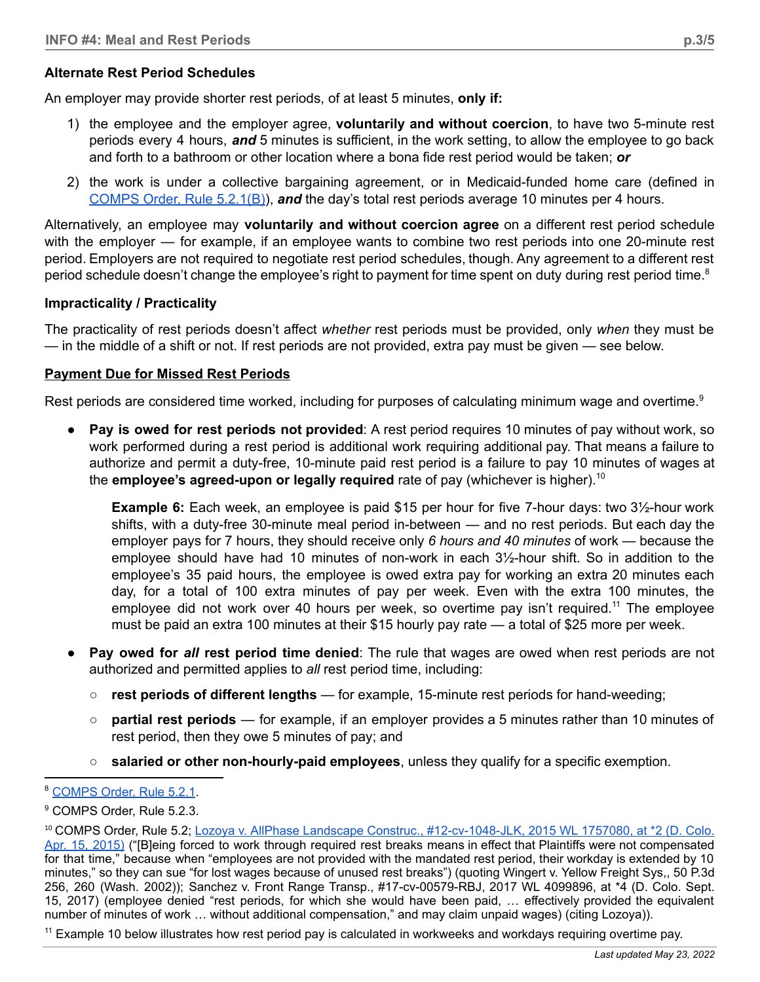## **Alternate Rest Period Schedules**

An employer may provide shorter rest periods, of at least 5 minutes, **only if:**

- 1) the employee and the employer agree, **voluntarily and without coercion**, to have two 5-minute rest periods every 4 hours, *and* 5 minutes is sufficient, in the work setting, to allow the employee to go back and forth to a bathroom or other location where a bona fide rest period would be taken; *or*
- 2) the work is under a collective bargaining agreement, or in Medicaid-funded home care (defined in [COMPS](https://cdle.colorado.gov/laws-regulations-guidance) Order, Rule 5.2.1(B)), *and* the day's total rest periods average 10 minutes per 4 hours.

Alternatively, an employee may **voluntarily and without coercion agree** on a different rest period schedule with the employer — for example, if an employee wants to combine two rest periods into one 20-minute rest period. Employers are not required to negotiate rest period schedules, though. Any agreement to a different rest period schedule doesn't change the employee's right to payment for time spent on duty during rest period time.<sup>8</sup>

## **Impracticality / Practicality**

The practicality of rest periods doesn't affect *whether* rest periods must be provided, only *when* they must be — in the middle of a shift or not. If rest periods are not provided, extra pay must be given — see below.

### **Payment Due for Missed Rest Periods**

Rest periods are considered time worked, including for purposes of calculating minimum wage and overtime.<sup>9</sup>

**Pay is owed for rest periods not provided:** A rest period requires 10 minutes of pay without work, so work performed during a rest period is additional work requiring additional pay. That means a failure to authorize and permit a duty-free, 10-minute paid rest period is a failure to pay 10 minutes of wages at the **employee's agreed-upon or legally required** rate of pay (whichever is higher). 10

**Example 6:** Each week, an employee is paid \$15 per hour for five 7-hour days: two 3½-hour work shifts, with a duty-free 30-minute meal period in-between — and no rest periods. But each day the employer pays for 7 hours, they should receive only *6 hours and 40 minutes* of work — because the employee should have had 10 minutes of non-work in each 3½-hour shift. So in addition to the employee's 35 paid hours, the employee is owed extra pay for working an extra 20 minutes each day, for a total of 100 extra minutes of pay per week. Even with the extra 100 minutes, the employee did not work over 40 hours per week, so overtime pay isn't required.<sup>11</sup> The employee must be paid an extra 100 minutes at their \$15 hourly pay rate — a total of \$25 more per week.

- **Pay owed for** *all* **rest period time denied**: The rule that wages are owed when rest periods are not authorized and permitted applies to *all* rest period time, including:
	- **rest periods of different lengths** for example, 15-minute rest periods for hand-weeding;
	- **partial rest periods** for example, if an employer provides a 5 minutes rather than 10 minutes of rest period, then they owe 5 minutes of pay; and
	- **salaried or other non-hourly-paid employees**, unless they qualify for a specific exemption.

 $11$  Example 10 below illustrates how rest period pay is calculated in workweeks and workdays requiring overtime pay.

<sup>8</sup> [COMPS](https://cdle.colorado.gov/laws-regulations-guidance) Order, Rule 5.2.1.

<sup>9</sup> COMPS Order, Rule 5.2.3.

<sup>10</sup> COMPS Order, Rule 5.2; Lozoya v. AllPhase Landscape Construc., [#12-cv-1048-JLK,](https://casetext.com/case/lozoya-v-allphase-landscape-constr-inc) 2015 WL 1757080, at \*2 (D. Colo. Apr. 15, [2015\)](https://casetext.com/case/lozoya-v-allphase-landscape-constr-inc) ("[B]eing forced to work through required rest breaks means in effect that Plaintiffs were not compensated for that time," because when "employees are not provided with the mandated rest period, their workday is extended by 10 minutes," so they can sue "for lost wages because of unused rest breaks") (quoting Wingert v. Yellow Freight Sys,, 50 P.3d 256, 260 (Wash. 2002)); Sanchez v. Front Range Transp., [#17-cv-00579-RBJ,](https://casetext.com/case/sanchez-v-front-range-transp#p4) 2017 WL 4099896, at \*4 (D. Colo. Sept. 15, [2017\)](https://casetext.com/case/sanchez-v-front-range-transp#p4) (employee denied "rest periods, for which she would have been paid, … effectively provided the equivalent number of minutes of work … without additional compensation," and may claim unpaid wages) (citing Lozoya)).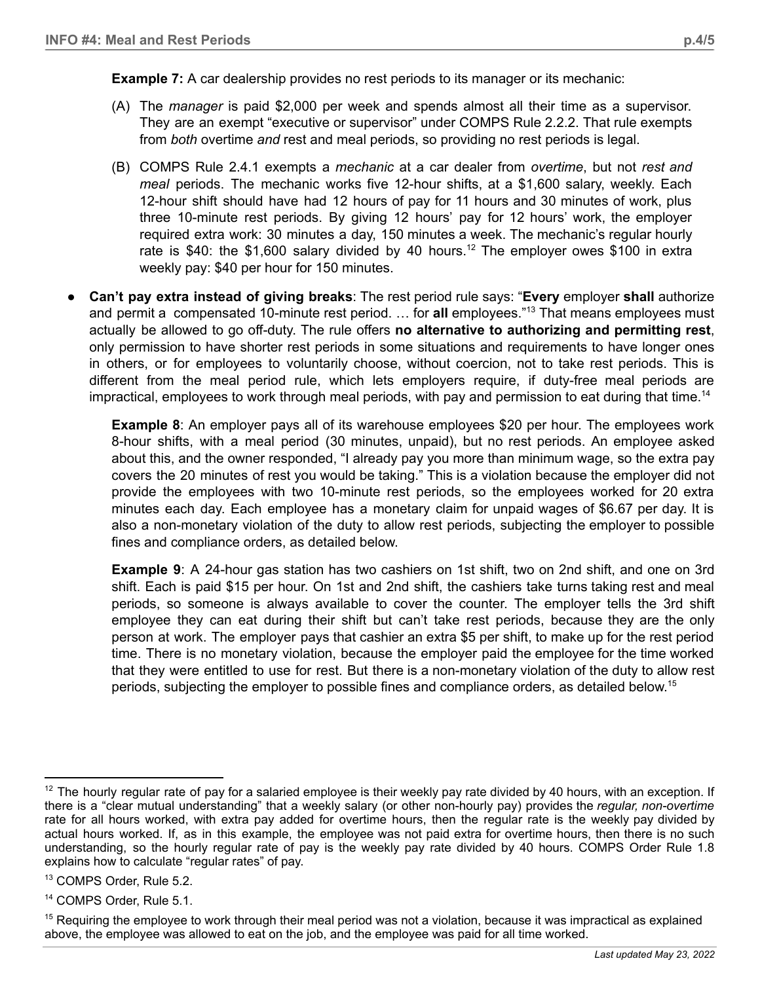- (A) The *manager* is paid \$2,000 per week and spends almost all their time as a supervisor. They are an exempt "executive or supervisor" under COMPS Rule 2.2.2. That rule exempts from *both* overtime *and* rest and meal periods, so providing no rest periods is legal.
- (B) COMPS Rule 2.4.1 exempts a *mechanic* at a car dealer from *overtime*, but not *rest and meal* periods. The mechanic works five 12-hour shifts, at a \$1,600 salary, weekly. Each 12-hour shift should have had 12 hours of pay for 11 hours and 30 minutes of work, plus three 10-minute rest periods. By giving 12 hours' pay for 12 hours' work, the employer required extra work: 30 minutes a day, 150 minutes a week. The mechanic's regular hourly rate is \$40: the \$1,600 salary divided by 40 hours.<sup>12</sup> The employer owes \$100 in extra weekly pay: \$40 per hour for 150 minutes.
- **Can't pay extra instead of giving breaks**: The rest period rule says: "**Every** employer **shall** authorize and permit a compensated 10-minute rest period. ... for **all** employees."<sup>13</sup> That means employees must actually be allowed to go off-duty. The rule offers **no alternative to authorizing and permitting rest**, only permission to have shorter rest periods in some situations and requirements to have longer ones in others, or for employees to voluntarily choose, without coercion, not to take rest periods. This is different from the meal period rule, which lets employers require, if duty-free meal periods are impractical, employees to work through meal periods, with pay and permission to eat during that time. 14

**Example 8**: An employer pays all of its warehouse employees \$20 per hour. The employees work 8-hour shifts, with a meal period (30 minutes, unpaid), but no rest periods. An employee asked about this, and the owner responded, "I already pay you more than minimum wage, so the extra pay covers the 20 minutes of rest you would be taking." This is a violation because the employer did not provide the employees with two 10-minute rest periods, so the employees worked for 20 extra minutes each day. Each employee has a monetary claim for unpaid wages of \$6.67 per day. It is also a non-monetary violation of the duty to allow rest periods, subjecting the employer to possible fines and compliance orders, as detailed below.

**Example 9**: A 24-hour gas station has two cashiers on 1st shift, two on 2nd shift, and one on 3rd shift. Each is paid \$15 per hour. On 1st and 2nd shift, the cashiers take turns taking rest and meal periods, so someone is always available to cover the counter. The employer tells the 3rd shift employee they can eat during their shift but can't take rest periods, because they are the only person at work. The employer pays that cashier an extra \$5 per shift, to make up for the rest period time. There is no monetary violation, because the employer paid the employee for the time worked that they were entitled to use for rest. But there is a non-monetary violation of the duty to allow rest periods, subjecting the employer to possible fines and compliance orders, as detailed below. 15

 $12$  The hourly regular rate of pay for a salaried employee is their weekly pay rate divided by 40 hours, with an exception. If there is a "clear mutual understanding" that a weekly salary (or other non-hourly pay) provides the *regular, non-overtime* rate for all hours worked, with extra pay added for overtime hours, then the regular rate is the weekly pay divided by actual hours worked. If, as in this example, the employee was not paid extra for overtime hours, then there is no such understanding, so the hourly regular rate of pay is the weekly pay rate divided by 40 hours. COMPS Order Rule 1.8 explains how to calculate "regular rates" of pay.

<sup>13</sup> COMPS Order, Rule 5.2.

<sup>14</sup> COMPS Order, Rule 5.1.

<sup>&</sup>lt;sup>15</sup> Requiring the employee to work through their meal period was not a violation, because it was impractical as explained above, the employee was allowed to eat on the job, and the employee was paid for all time worked.